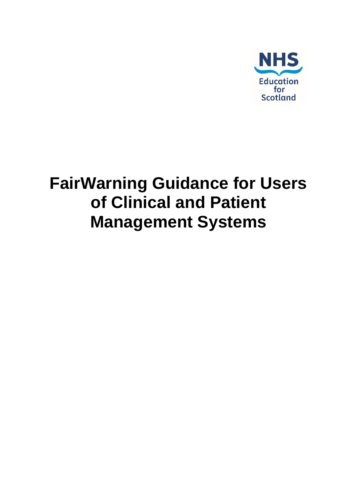

# **FairWarning Guidance for Users of Clinical and Patient Management Systems**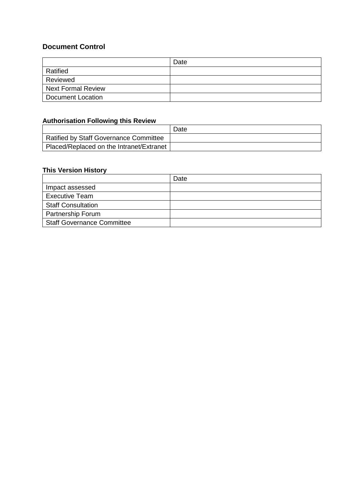#### **Document Control**

|                           | Date |
|---------------------------|------|
| Ratified                  |      |
| Reviewed                  |      |
| <b>Next Formal Review</b> |      |
| <b>Document Location</b>  |      |

#### **Authorisation Following this Review**

|                                          | Date |
|------------------------------------------|------|
| Ratified by Staff Governance Committee   |      |
| Placed/Replaced on the Intranet/Extranet |      |

## **This Version History**

|                                   | Date |
|-----------------------------------|------|
| Impact assessed                   |      |
| <b>Executive Team</b>             |      |
| <b>Staff Consultation</b>         |      |
| Partnership Forum                 |      |
| <b>Staff Governance Committee</b> |      |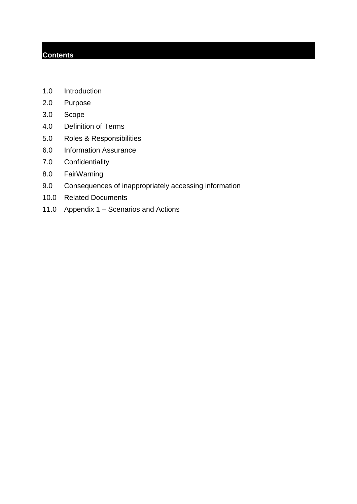### **Contents**

- 1.0 Introduction
- 2.0 Purpose
- 3.0 Scope
- 4.0 Definition of Terms
- 5.0 Roles & Responsibilities
- 6.0 Information Assurance
- 7.0 Confidentiality
- 8.0 FairWarning
- 9.0 Consequences of inappropriately accessing information
- 10.0 Related Documents
- 11.0 Appendix 1 Scenarios and Actions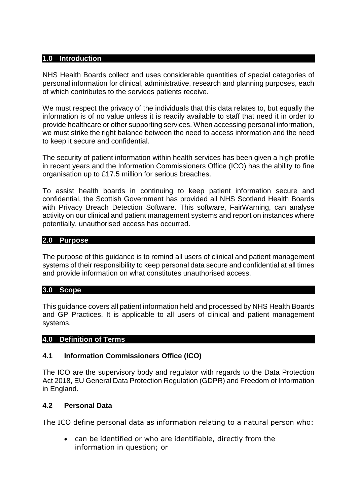#### **1.0 Introduction**

NHS Health Boards collect and uses considerable quantities of special categories of personal information for clinical, administrative, research and planning purposes, each of which contributes to the services patients receive.

We must respect the privacy of the individuals that this data relates to, but equally the information is of no value unless it is readily available to staff that need it in order to provide healthcare or other supporting services. When accessing personal information, we must strike the right balance between the need to access information and the need to keep it secure and confidential.

The security of patient information within health services has been given a high profile in recent years and the Information Commissioners Office (ICO) has the ability to fine organisation up to £17.5 million for serious breaches.

To assist health boards in continuing to keep patient information secure and confidential, the Scottish Government has provided all NHS Scotland Health Boards with Privacy Breach Detection Software. This software, FairWarning, can analyse activity on our clinical and patient management systems and report on instances where potentially, unauthorised access has occurred.

#### **2.0 Purpose**

The purpose of this guidance is to remind all users of clinical and patient management systems of their responsibility to keep personal data secure and confidential at all times and provide information on what constitutes unauthorised access.

#### **3.0 Scope**

This guidance covers all patient information held and processed by NHS Health Boards and GP Practices. It is applicable to all users of clinical and patient management systems.

#### **4.0 Definition of Terms**

#### **4.1 Information Commissioners Office (ICO)**

The ICO are the supervisory body and regulator with regards to the Data Protection Act 2018, EU General Data Protection Regulation (GDPR) and Freedom of Information in England.

#### **4.2 Personal Data**

The ICO define personal data as information relating to a natural person who:

• can be identified or who are identifiable, directly from the information in question; or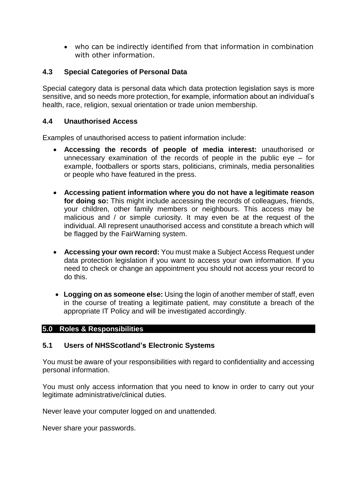• who can be indirectly identified from that information in combination with other information.

#### **4.3 Special Categories of Personal Data**

Special category data is personal data which data protection legislation says is more sensitive, and so needs more protection, for example, information about an individual's health, race, religion, sexual orientation or trade union membership.

#### **4.4 Unauthorised Access**

Examples of unauthorised access to patient information include:

- **Accessing the records of people of media interest:** unauthorised or unnecessary examination of the records of people in the public eye – for example, footballers or sports stars, politicians, criminals, media personalities or people who have featured in the press.
- **Accessing patient information where you do not have a legitimate reason for doing so:** This might include accessing the records of colleagues, friends, your children, other family members or neighbours. This access may be malicious and / or simple curiosity. It may even be at the request of the individual. All represent unauthorised access and constitute a breach which will be flagged by the FairWarning system.
- **Accessing your own record:** You must make a Subject Access Request under data protection legislation if you want to access your own information. If you need to check or change an appointment you should not access your record to do this.
- **Logging on as someone else:** Using the login of another member of staff, even in the course of treating a legitimate patient, may constitute a breach of the appropriate IT Policy and will be investigated accordingly.

#### **5.0 Roles & Responsibilities**

#### **5.1 Users of NHSScotland's Electronic Systems**

You must be aware of your responsibilities with regard to confidentiality and accessing personal information.

You must only access information that you need to know in order to carry out your legitimate administrative/clinical duties.

Never leave your computer logged on and unattended.

Never share your passwords.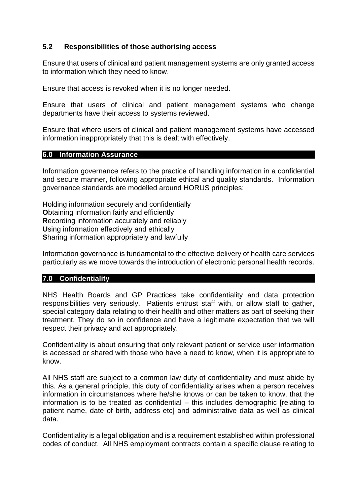#### **5.2 Responsibilities of those authorising access**

Ensure that users of clinical and patient management systems are only granted access to information which they need to know.

Ensure that access is revoked when it is no longer needed.

Ensure that users of clinical and patient management systems who change departments have their access to systems reviewed.

Ensure that where users of clinical and patient management systems have accessed information inappropriately that this is dealt with effectively.

#### **6.0 Information Assurance**

Information governance refers to the practice of handling information in a confidential and secure manner, following appropriate ethical and quality standards. Information governance standards are modelled around HORUS principles:

**H**olding information securely and confidentially **O**btaining information fairly and efficiently **R**ecording information accurately and reliably **U**sing information effectively and ethically **S**haring information appropriately and lawfully

Information governance is fundamental to the effective delivery of health care services particularly as we move towards the introduction of electronic personal health records.

#### **7.0 Confidentiality**

NHS Health Boards and GP Practices take confidentiality and data protection responsibilities very seriously. Patients entrust staff with, or allow staff to gather, special category data relating to their health and other matters as part of seeking their treatment. They do so in confidence and have a legitimate expectation that we will respect their privacy and act appropriately.

Confidentiality is about ensuring that only relevant patient or service user information is accessed or shared with those who have a need to know, when it is appropriate to know.

All NHS staff are subject to a common law duty of confidentiality and must abide by this. As a general principle, this duty of confidentiality arises when a person receives information in circumstances where he/she knows or can be taken to know, that the information is to be treated as confidential – this includes demographic [relating to patient name, date of birth, address etc] and administrative data as well as clinical data.

Confidentiality is a legal obligation and is a requirement established within professional codes of conduct. All NHS employment contracts contain a specific clause relating to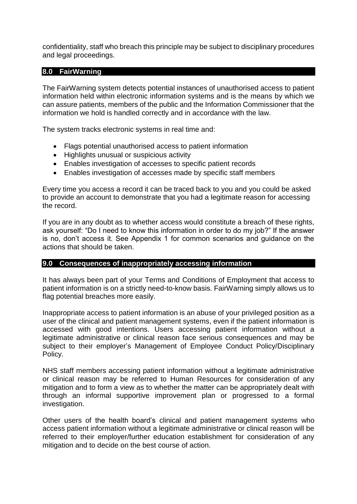confidentiality, staff who breach this principle may be subject to disciplinary procedures and legal proceedings.

#### **8.0 FairWarning**

The FairWarning system detects potential instances of unauthorised access to patient information held within electronic information systems and is the means by which we can assure patients, members of the public and the Information Commissioner that the information we hold is handled correctly and in accordance with the law.

The system tracks electronic systems in real time and:

- Flags potential unauthorised access to patient information
- Highlights unusual or suspicious activity
- Enables investigation of accesses to specific patient records
- Enables investigation of accesses made by specific staff members

Every time you access a record it can be traced back to you and you could be asked to provide an account to demonstrate that you had a legitimate reason for accessing the record.

If you are in any doubt as to whether access would constitute a breach of these rights, ask yourself: "Do I need to know this information in order to do my job?" If the answer is no, don't access it. See Appendix 1 for common scenarios and guidance on the actions that should be taken.

#### **9.0 Consequences of inappropriately accessing information**

It has always been part of your Terms and Conditions of Employment that access to patient information is on a strictly need-to-know basis. FairWarning simply allows us to flag potential breaches more easily.

Inappropriate access to patient information is an abuse of your privileged position as a user of the clinical and patient management systems, even if the patient information is accessed with good intentions. Users accessing patient information without a legitimate administrative or clinical reason face serious consequences and may be subject to their employer's Management of Employee Conduct Policy/Disciplinary Policy.

NHS staff members accessing patient information without a legitimate administrative or clinical reason may be referred to Human Resources for consideration of any mitigation and to form a view as to whether the matter can be appropriately dealt with through an informal supportive improvement plan or progressed to a formal investigation.

Other users of the health board's clinical and patient management systems who access patient information without a legitimate administrative or clinical reason will be referred to their employer/further education establishment for consideration of any mitigation and to decide on the best course of action.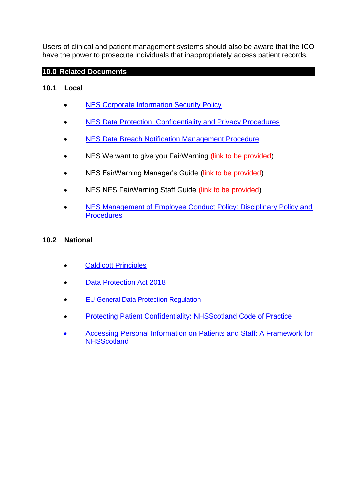Users of clinical and patient management systems should also be aware that the ICO have the power to prosecute individuals that inappropriately access patient records.

#### **10.0 Related Documents**

#### **10.1 Local**

- [NES Corporate Information Security Policy](https://scottish.sharepoint.com/:w:/r/sites/6nes/_layouts/15/Doc.aspx?sourcedoc=%7Ba17af0ff-5434-41d4-a2db-46f98197d8c6%7D&action=default)
- [NES Data Protection, Confidentiality and Privacy Procedures](https://scottish.sharepoint.com/sites/6nes/Shared%20Documents/Forms/AllItems.aspx?id=%2Fsites%2F6nes%2FShared%20Documents%2FCorporate%20Digital%2FIG%2FPolicy%27s%20%26%20Procedures%2FLive%2FData%20Protection%20Procedures%20V1%20%28Final%29%2Epdf&parent=%2Fsites%2F6nes%2FShared%20Documents%2FCorporate%20Digital%2FIG%2FPolicy%27s%20%26%20Procedures%2FLive&p=true&slrid=fa28a59e-3073-0000-3740-5395809f7652)
- NES [Data Breach Notification Management Procedure](https://scottish.sharepoint.com/sites/6nes/Shared%20Documents/Forms/AllItems.aspx?id=%2Fsites%2F6nes%2FShared%20Documents%2FCorporate%20Digital%2FIG%2FPrivacy%20%2D%20DP%2FBreach%20Notification%2FData%20Breach%20Notification%20Procedures%2Epdf&parent=%2Fsites%2F6nes%2FShared%20Documents%2FCorporate%20Digital%2FIG%2FPrivacy%20%2D%20DP%2FBreach%20Notification&p=true&slrid=7f7ba69e-90f1-0000-497f-039d2537cbf2)
- NES We want to give you FairWarning (link to be provided)
- NES FairWarning Manager's Guide (link to be provided)
- NES NES FairWarning Staff Guide (link to be provided)
- NES Management of Employee Conduct Policy: Disciplinary Policy and **[Procedures](https://scottish.sharepoint.com/sites/1nes/Shared%20Documents/Forms/AllItems.aspx?FolderCTID=0x012000ECD7D552518C1F4A8C60CE9495B3666600CE124D488976584F83BBA4AA338098FC&id=%2Fsites%2F1nes%2FShared%20Documents%2FPolicies%2FHR%2FManagement%20of%20Employee%20Conduct%20policy1%2Epdf&parent=%2Fsites%2F1nes%2FShared%20Documents%2FPolicies%2FHR)**

#### **10.2 National**

- [Caldicott Principles](https://www.igt.hscic.gov.uk/Caldicott2Principles.aspx)
- **[Data Protection Act 2018](http://www.legislation.gov.uk/ukpga/2018/12/contents/enacted)**
- [EU General Data Protection Regulation](https://www.local.gov.uk/our-support/general-data-protection-regulation-gdpr)
- [Protecting Patient Confidentiality: NHSScotland Code of Practice](http://www.wdhscp.org.uk/media/1256/revised-code-of-confidentiality-final.pdf)
- [Accessing Personal Information on Patients and Staff: A Framework for](https://www.ehealth.scot/wp-content/uploads/documents/Access-Framework-July-2011.pdf)  **NHSScotland**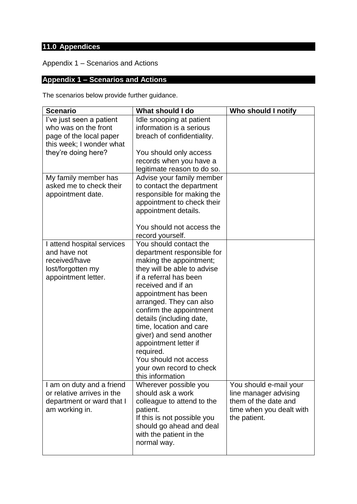# **11.0 Appendices**

Appendix 1 – Scenarios and Actions

## **Appendix 1 – Scenarios and Actions**

The scenarios below provide further guidance.

| <b>Scenario</b>                                                                                                                | What should I do                                                                                                                                                                                                                                                                                                                                                                                                                              | Who should I notify                                                                                                 |
|--------------------------------------------------------------------------------------------------------------------------------|-----------------------------------------------------------------------------------------------------------------------------------------------------------------------------------------------------------------------------------------------------------------------------------------------------------------------------------------------------------------------------------------------------------------------------------------------|---------------------------------------------------------------------------------------------------------------------|
| l've just seen a patient<br>who was on the front<br>page of the local paper<br>this week; I wonder what<br>they're doing here? | Idle snooping at patient<br>information is a serious<br>breach of confidentiality.<br>You should only access<br>records when you have a<br>legitimate reason to do so.                                                                                                                                                                                                                                                                        |                                                                                                                     |
| My family member has<br>asked me to check their<br>appointment date.                                                           | Advise your family member<br>to contact the department<br>responsible for making the<br>appointment to check their<br>appointment details.<br>You should not access the<br>record yourself.                                                                                                                                                                                                                                                   |                                                                                                                     |
| I attend hospital services<br>and have not<br>received/have<br>lost/forgotten my<br>appointment letter.                        | You should contact the<br>department responsible for<br>making the appointment;<br>they will be able to advise<br>if a referral has been<br>received and if an<br>appointment has been<br>arranged. They can also<br>confirm the appointment<br>details (including date,<br>time, location and care<br>giver) and send another<br>appointment letter if<br>required.<br>You should not access<br>your own record to check<br>this information |                                                                                                                     |
| I am on duty and a friend<br>or relative arrives in the<br>department or ward that I<br>am working in.                         | Wherever possible you<br>should ask a work<br>colleague to attend to the<br>patient.<br>If this is not possible you<br>should go ahead and deal<br>with the patient in the<br>normal way.                                                                                                                                                                                                                                                     | You should e-mail your<br>line manager advising<br>them of the date and<br>time when you dealt with<br>the patient. |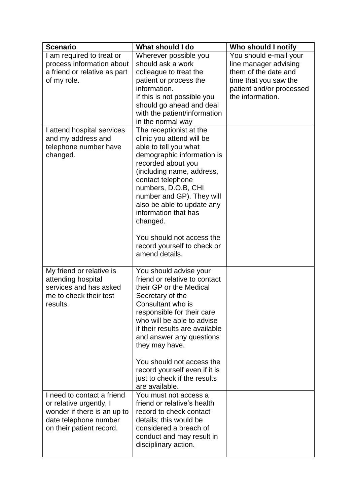| <b>Scenario</b>                                                                                                                           | What should I do                                                                                                                                                                                                                                                                                                                                                                        | Who should I notify                                                                                                                              |
|-------------------------------------------------------------------------------------------------------------------------------------------|-----------------------------------------------------------------------------------------------------------------------------------------------------------------------------------------------------------------------------------------------------------------------------------------------------------------------------------------------------------------------------------------|--------------------------------------------------------------------------------------------------------------------------------------------------|
| I am required to treat or<br>process information about<br>a friend or relative as part<br>of my role.                                     | Wherever possible you<br>should ask a work<br>colleague to treat the<br>patient or process the<br>information.<br>If this is not possible you<br>should go ahead and deal<br>with the patient/information<br>in the normal way                                                                                                                                                          | You should e-mail your<br>line manager advising<br>them of the date and<br>time that you saw the<br>patient and/or processed<br>the information. |
| I attend hospital services<br>and my address and<br>telephone number have<br>changed.                                                     | The receptionist at the<br>clinic you attend will be<br>able to tell you what<br>demographic information is<br>recorded about you<br>(including name, address,<br>contact telephone<br>numbers, D.O.B, CHI<br>number and GP). They will<br>also be able to update any<br>information that has<br>changed.<br>You should not access the<br>record yourself to check or<br>amend details. |                                                                                                                                                  |
| My friend or relative is<br>attending hospital<br>services and has asked<br>me to check their test<br>results.                            | You should advise your<br>friend or relative to contact<br>their GP or the Medical<br>Secretary of the<br>Consultant who is<br>responsible for their care<br>who will be able to advise<br>if their results are available<br>and answer any questions<br>they may have.<br>You should not access the<br>record yourself even if it is<br>just to check if the results<br>are available. |                                                                                                                                                  |
| I need to contact a friend<br>or relative urgently, I<br>wonder if there is an up to<br>date telephone number<br>on their patient record. | You must not access a<br>friend or relative's health<br>record to check contact<br>details; this would be<br>considered a breach of<br>conduct and may result in<br>disciplinary action.                                                                                                                                                                                                |                                                                                                                                                  |